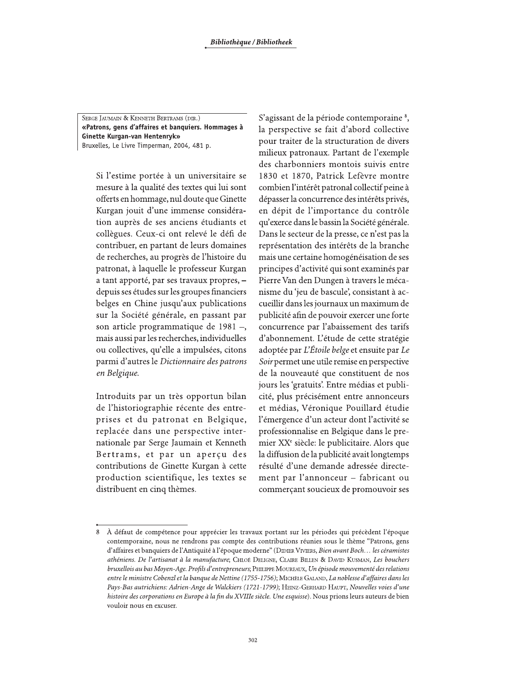SERGE JAUMAIN & KENNETH BERTRAMS (DIR.) «Patrons, gens d'affaires et banquiers. Hommages à Ginette Kurgan-van Hentenryk» Bruxelles, Le Livre Timperman, 2004, 481 p.

Si l'estime portée à un universitaire se mesure à la qualité des textes qui lui sont offerts en hommage, nul doute que Ginette Kurgan jouit d'une immense considération auprès de ses anciens étudiants et collègues. Ceux-ci ont relevé le défi de contribuer, en partant de leurs domaines de recherches, au progrès de l'histoire du patronat, à laquelle le professeur Kurgan a tant apporté, par ses travaux propres, depuis ses études sur les groupes financiers belges en Chine jusqu'aux publications sur la Société générale, en passant par son article programmatique de 1981 -, mais aussi par les recherches, individuelles ou collectives, qu'elle a impulsées, citons parmi d'autres le Dictionnaire des patrons en Belgique.

Introduits par un très opportun bilan de l'historiographie récente des entreprises et du patronat en Belgique, replacée dans une perspective internationale par Serge Jaumain et Kenneth Bertrams, et par un aperçu des contributions de Ginette Kurgan à cette production scientifique, les textes se distribuent en cinq thèmes.

S'agissant de la période contemporaine <sup>8</sup>, la perspective se fait d'abord collective pour traiter de la structuration de divers milieux patronaux. Partant de l'exemple des charbonniers montois suivis entre 1830 et 1870, Patrick Lefèvre montre combien l'intérêt patronal collectif peine à dépasser la concurrence des intérêts privés, en dépit de l'importance du contrôle qu'exerce dans le bassin la Société générale. Dans le secteur de la presse, ce n'est pas la représentation des intérêts de la branche mais une certaine homogénéisation de ses principes d'activité qui sont examinés par Pierre Van den Dungen à travers le mécanisme du 'jeu de bascule', consistant à accueillir dans les journaux un maximum de publicité afin de pouvoir exercer une forte concurrence par l'abaissement des tarifs d'abonnement. L'étude de cette stratégie adoptée par L'Étoile belge et ensuite par Le Soir permet une utile remise en perspective de la nouveauté que constituent de nos jours les 'gratuits'. Entre médias et publicité, plus précisément entre annonceurs et médias, Véronique Pouillard étudie l'émergence d'un acteur dont l'activité se professionnalise en Belgique dans le premier XX<sup>e</sup> siècle: le publicitaire. Alors que la diffusion de la publicité avait longtemps résulté d'une demande adressée directement par l'annonceur - fabricant ou commerçant soucieux de promouvoir ses

<sup>8</sup> À défaut de compétence pour apprécier les travaux portant sur les périodes qui précèdent l'époque contemporaine, nous ne rendrons pas compte des contributions réunies sous le thème "Patrons, gens d'affaires et banquiers de l'Antiquité à l'époque moderne" (DIDIER VIVIERS, Bien avant Boch... les céramistes athéniens. De l'artisanat à la manufacture; CHLOÉ DELIGNE, CLAIRE BILLEN & DAVID KUSMAN, Les bouchers bruxellois au bas Moven-Age. Profils d'entrepreneurs; PHILIPPE MOUREAUX, Un épisode mouvementé des relations entre le ministre Cobenzl et la banque de Nettine (1755-1756); MICHÈLE GALAND, La noblesse d'affaires dans les Pays-Bas autrichiens: Adrien-Ange de Walckiers (1721-1799); HEINZ-GERHARD HAUPT, Nouvelles voies d'une histoire des corporations en Europe à la fin du XVIIIe siècle. Une esquisse). Nous prions leurs auteurs de bien vouloir nous en excuser.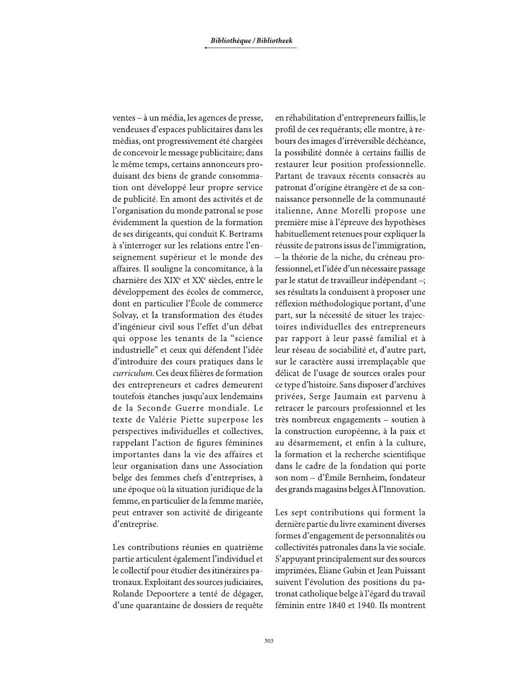ventes – à un média, les agences de presse, vendeuses d'espaces publicitaires dans les médias, ont progressivement été chargées de concevoir le message publicitaire; dans le même temps, certains annonceurs produisant des biens de grande consommation ont développé leur propre service de publicité. En amont des activités et de l'organisation du monde patronal se pose évidemment la question de la formation de ses dirigeants, qui conduit K. Bertrams à s'interroger sur les relations entre l'enseignement supérieur et le monde des affaires. Il souligne la concomitance, à la charnière des XIX<sup>e</sup> et XX<sup>e</sup> siècles, entre le développement des écoles de commerce, dont en particulier l'École de commerce Solvay, et la transformation des études d'ingénieur civil sous l'effet d'un débat qui oppose les tenants de la "science industrielle" et ceux qui défendent l'idée d'introduire des cours pratiques dans le curriculum. Ces deux filières de formation des entrepreneurs et cadres demeurent toutefois étanches jusqu'aux lendemains de la Seconde Guerre mondiale. Le texte de Valérie Piette superpose les perspectives individuelles et collectives, rappelant l'action de figures féminines importantes dans la vie des affaires et leur organisation dans une Association belge des femmes chefs d'entreprises, à une époque où la situation juridique de la femme, en particulier de la femme mariée, peut entraver son activité de dirigeante d'entreprise.

Les contributions réunies en quatrième partie articulent également l'individuel et le collectif pour étudier des itinéraires patronaux. Exploitant des sources judiciaires, Rolande Depoortere a tenté de dégager, d'une quarantaine de dossiers de requête en réhabilitation d'entrepreneurs faillis, le profil de ces requérants; elle montre, à rebours des images d'irréversible déchéance, la possibilité donnée à certains faillis de restaurer leur position professionnelle. Partant de travaux récents consacrés au patronat d'origine étrangère et de sa connaissance personnelle de la communauté italienne, Anne Morelli propose une première mise à l'épreuve des hypothèses habituellement retenues pour expliquer la réussite de patrons issus de l'immigration, - la théorie de la niche, du créneau professionnel, et l'idée d'un nécessaire passage par le statut de travailleur indépendant -; ses résultats la conduisent à proposer une réflexion méthodologique portant, d'une part, sur la nécessité de situer les trajectoires individuelles des entrepreneurs par rapport à leur passé familial et à leur réseau de sociabilité et, d'autre part, sur le caractère aussi irremplaçable que délicat de l'usage de sources orales pour ce type d'histoire. Sans disposer d'archives privées, Serge Jaumain est parvenu à retracer le parcours professionnel et les très nombreux engagements – soutien à la construction européenne, à la paix et au désarmement, et enfin à la culture, la formation et la recherche scientifique dans le cadre de la fondation qui porte son nom - d'Émile Bernheim, fondateur des grands magasins belges À l'Innovation.

Les sept contributions qui forment la dernière partie du livre examinent diverses formes d'engagement de personnalités ou collectivités patronales dans la vie sociale. S'appuyant principalement sur des sources imprimées, Éliane Gubin et Jean Puissant suivent l'évolution des positions du patronat catholique belge à l'égard du travail féminin entre 1840 et 1940. Ils montrent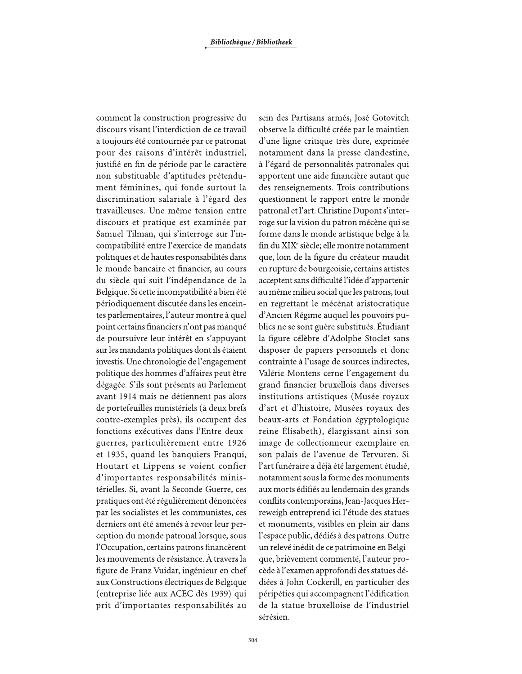comment la construction progressive du discours visant l'interdiction de ce travail a toujours été contournée par ce patronat pour des raisons d'intérêt industriel, justifié en fin de période par le caractère non substituable d'aptitudes prétendument féminines, qui fonde surtout la discrimination salariale à l'égard des travailleuses. Une même tension entre discours et pratique est examinée par Samuel Tilman, qui s'interroge sur l'incompatibilité entre l'exercice de mandats politiques et de hautes responsabilités dans le monde bancaire et financier, au cours du siècle qui suit l'indépendance de la Belgique. Si cette incompatibilité a bien été périodiquement discutée dans les enceintes parlementaires, l'auteur montre à quel point certains financiers n'ont pas manqué de poursuivre leur intérêt en s'appuyant sur les mandants politiques dont ils étaient investis. Une chronologie de l'engagement politique des hommes d'affaires peut être dégagée. S'ils sont présents au Parlement avant 1914 mais ne détiennent pas alors de portefeuilles ministériels (à deux brefs contre-exemples près), ils occupent des fonctions exécutives dans l'Entre-deuxguerres, particulièrement entre 1926 et 1935, quand les banquiers Franqui, Houtart et Lippens se voient confier d'importantes responsabilités ministérielles. Si, avant la Seconde Guerre, ces pratiques ont été régulièrement dénoncées par les socialistes et les communistes, ces derniers ont été amenés à revoir leur perception du monde patronal lorsque, sous l'Occupation, certains patrons financèrent les mouvements de résistance. À travers la figure de Franz Vuidar, ingénieur en chef aux Constructions électriques de Belgique (entreprise liée aux ACEC dès 1939) qui prit d'importantes responsabilités au

sein des Partisans armés, José Gotovitch observe la difficulté créée par le maintien d'une ligne critique très dure, exprimée notamment dans la presse clandestine, à l'égard de personnalités patronales qui apportent une aide financière autant que des renseignements. Trois contributions questionnent le rapport entre le monde patronal et l'art. Christine Dupont s'interroge sur la vision du patron mécène qui se forme dans le monde artistique belge à la fin du XIX<sup>e</sup> siècle; elle montre notamment que, loin de la figure du créateur maudit en rupture de bourgeoisie, certains artistes acceptent sans difficulté l'idée d'appartenir au même milieu social que les patrons, tout en regrettant le mécénat aristocratique d'Ancien Régime auquel les pouvoirs publics ne se sont guère substitués. Étudiant la figure célèbre d'Adolphe Stoclet sans disposer de papiers personnels et donc contrainte à l'usage de sources indirectes, Valérie Montens cerne l'engagement du grand financier bruxellois dans diverses institutions artistiques (Musée royaux d'art et d'histoire, Musées royaux des beaux-arts et Fondation égyptologique reine Élisabeth), élargissant ainsi son image de collectionneur exemplaire en son palais de l'avenue de Tervuren. Si l'art funéraire a déjà été largement étudié, notamment sous la forme des monuments aux morts édifiés au lendemain des grands conflits contemporains, Jean-Jacques Herreweigh entreprend ici l'étude des statues et monuments, visibles en plein air dans l'espace public, dédiés à des patrons. Outre un relevé inédit de ce patrimoine en Belgique, brièvement commenté, l'auteur procède à l'examen approfondi des statues dédiées à John Cockerill, en particulier des péripéties qui accompagnent l'édification de la statue bruxelloise de l'industriel sérésien.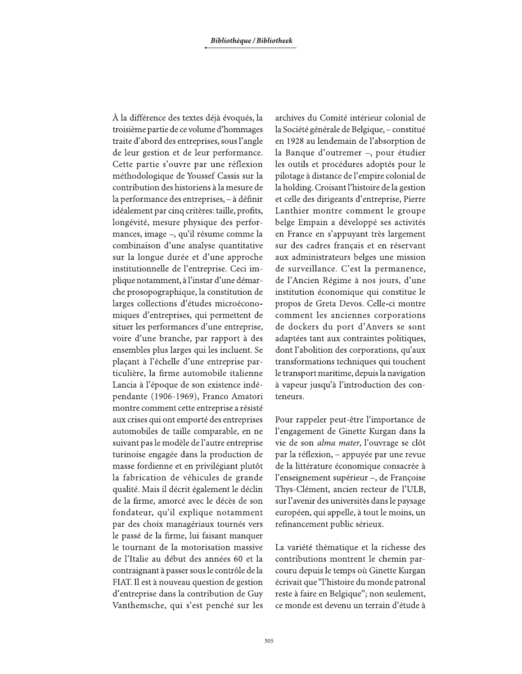À la différence des textes déjà évoqués, la troisième partie de ce volume d'hommages traite d'abord des entreprises, sous l'angle de leur gestion et de leur performance. Cette partie s'ouvre par une réflexion méthodologique de Youssef Cassis sur la contribution des historiens à la mesure de la performance des entreprises, - à définir idéalement par cinq critères: taille, profits, longévité, mesure physique des performances, image -, qu'il résume comme la combinaison d'une analyse quantitative sur la longue durée et d'une approche institutionnelle de l'entreprise. Ceci implique notamment, à l'instar d'une démarche prosopographique, la constitution de larges collections d'études microéconomiques d'entreprises, qui permettent de situer les performances d'une entreprise, voire d'une branche, par rapport à des ensembles plus larges qui les incluent. Se plaçant à l'échelle d'une entreprise particulière, la firme automobile italienne Lancia à l'époque de son existence indépendante (1906-1969), Franco Amatori montre comment cette entreprise a résisté aux crises qui ont emporté des entreprises automobiles de taille comparable, en ne suivant pas le modèle de l'autre entreprise turinoise engagée dans la production de masse fordienne et en privilégiant plutôt la fabrication de véhicules de grande qualité. Mais il décrit également le déclin de la firme, amorcé avec le décès de son fondateur, qu'il explique notamment par des choix managériaux tournés vers le passé de la firme, lui faisant manquer le tournant de la motorisation massive de l'Italie au début des années 60 et la contraignant à passer sous le contrôle de la FIAT. Il est à nouveau question de gestion d'entreprise dans la contribution de Guy Vanthemsche, qui s'est penché sur les archives du Comité intérieur colonial de la Société générale de Belgique, - constitué en 1928 au lendemain de l'absorption de la Banque d'outremer -, pour étudier les outils et procédures adoptés pour le pilotage à distance de l'empire colonial de la holding. Croisant l'histoire de la gestion et celle des dirigeants d'entreprise, Pierre Lanthier montre comment le groupe belge Empain a développé ses activités en France en s'appuyant très largement sur des cadres français et en réservant aux administrateurs belges une mission de surveillance. C'est la permanence, de l'Ancien Régime à nos jours, d'une institution économique qui constitue le propos de Greta Devos. Celle-ci montre comment les anciennes corporations de dockers du port d'Anvers se sont adaptées tant aux contraintes politiques, dont l'abolition des corporations, qu'aux transformations techniques qui touchent le transport maritime, depuis la navigation à vapeur jusqu'à l'introduction des conteneurs.

Pour rappeler peut-être l'importance de l'engagement de Ginette Kurgan dans la vie de son alma mater, l'ouvrage se clôt par la réflexion, - appuyée par une revue de la littérature économique consacrée à l'enseignement supérieur -, de Françoise Thys-Clément, ancien recteur de l'ULB, sur l'avenir des universités dans le paysage européen, qui appelle, à tout le moins, un refinancement public sérieux.

La variété thématique et la richesse des contributions montrent le chemin parcouru depuis le temps où Ginette Kurgan écrivait que "l'histoire du monde patronal reste à faire en Belgique"; non seulement, ce monde est devenu un terrain d'étude à